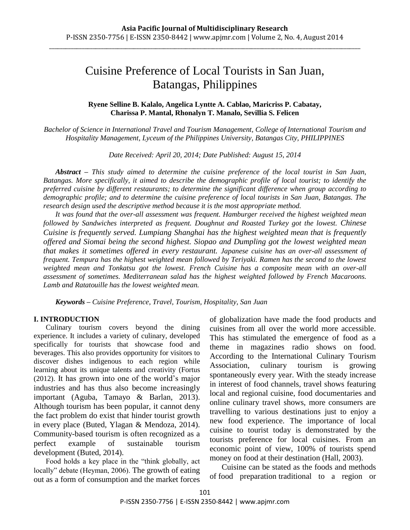# Cuisine Preference of Local Tourists in San Juan, Batangas, Philippines

# **Ryene Selline B. Kalalo, Angelica Lyntte A. Cablao, Maricriss P. Cabatay, Charissa P. Mantal, Rhonalyn T. Manalo, Sevillia S. Felicen**

*Bachelor of Science in International Travel and Tourism Management, College of International Tourism and Hospitality Management, Lyceum of the Philippines University, Batangas City, PHILIPPINES*

*Date Received: April 20, 2014; Date Published: August 15, 2014*

*Abstract – This study aimed to determine the cuisine preference of the local tourist in San Juan, Batangas. More specifically, it aimed to describe the demographic profile of local tourist; to identify the preferred cuisine by different restaurants; to determine the significant difference when group according to demographic profile; and to determine the cuisine preference of local tourists in San Juan, Batangas. The research design used the descriptive method because it is the most appropriate method.* 

*It was found that the over-all assessment was frequent. Hamburger received the highest weighted mean followed by Sandwiches interpreted as frequent. Doughnut and Roasted Turkey got the lowest. Chinese Cuisine is frequently served. Lumpiang Shanghai has the highest weighted mean that is frequently offered and Siomai being the second highest. Siopao and Dumpling got the lowest weighted mean that makes it sometimes offered in every restaurant. Japanese cuisine has an over-all assessment of frequent. Tempura has the highest weighted mean followed by Teriyaki. Ramen has the second to the lowest weighted mean and Tonkatsu got the lowest. French Cuisine has a composite mean with an over-all assessment of sometimes. Mediterranean salad has the highest weighted followed by French Macaroons. Lamb and Ratatouille has the lowest weighted mean.*

*Keywords – Cuisine Preference, Travel, Tourism, Hospitality, San Juan*

## **I. INTRODUCTION**

Culinary tourism covers beyond the dining experience. It includes a variety of culinary, developed specifically for tourists that showcase food and beverages. This also provides opportunity for visitors to discover dishes indigenous to each region while learning about its unique talents and creativity (Fortus (2012). It has grown into one of the world"s major industries and has thus also become increasingly important (Aguba, Tamayo & Barlan, 2013). Although tourism has been popular, it cannot deny the fact problem do exist that hinder tourist growth in every place (Buted, Ylagan & Mendoza, 2014). Community-based tourism is often recognized as a perfect example of sustainable tourism development (Buted, 2014).

Food holds a key place in the "think globally, act locally" debate (Heyman, 2006). The growth of eating out as a form of consumption and the market forces of globalization have made the food products and cuisines from all over the world more accessible. This has stimulated the emergence of food as a theme in magazines radio shows on food. According to the International Culinary Tourism Association, culinary tourism is growing spontaneously every year. With the steady increase in interest of food channels, travel shows featuring local and regional cuisine, food documentaries and online culinary travel shows, more consumers are travelling to various destinations just to enjoy a new food experience. The importance of local cuisine to tourist today is demonstrated by the tourists preference for local cuisines. From an economic point of view, 100% of tourists spend money on food at their destination (Hall, 2003).

Cuisine can be stated as the foods and methods of food preparation traditional to a region or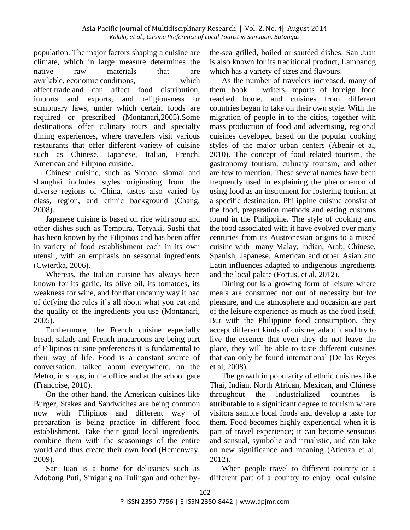population. The major factors shaping a cuisine are climate, which in large measure determines the native raw materials that are available, economic conditions, which affect trade and can affect food distribution, imports and exports, and religiousness or sumptuary laws, under which certain foods are required or prescribed (Montanari,2005).Some destinations offer culinary tours and specialty dining experiences, where travellers visit various restaurants that offer different variety of cuisine such as Chinese, Japanese, Italian, French, American and Filipino cuisine.

Chinese cuisine, such as Siopao, siomai and shanghai includes styles originating from the diverse regions of China, tastes also varied by class, region, and ethnic background (Chang, 2008).

Japanese cuisine is based on rice with soup and other dishes such as Tempura, Teryaki, Sushi that has been known by the Filipinos and has been offer in variety of food establishment each in its own utensil, with an emphasis on seasonal ingredients (Cwiertka, 2006).

Whereas, the Italian cuisine has always been known for its garlic, its olive oil, its tomatoes, its weakness for wine, and for that uncanny way it had of defying the rules it"s all about what you eat and the quality of the ingredients you use (Montanari, 2005).

Furthermore, the French cuisine especially bread, salads and French macaroons are being part of Filipinos cuisine preferences it is fundamental to their way of life. Food is a constant source of conversation, talked about everywhere, on the Metro, in shops, in the office and at the school gate (Francoise, 2010).

On the other hand, the American cuisines like Burger, Stakes and Sandwiches are being common now with Filipinos and different way of preparation is being practice in different food establishment. Take their good local ingredients, combine them with the seasonings of the entire world and thus create their own food (Hemenway, 2009).

San Juan is a home for delicacies such as Adobong Puti, Sinigang na Tulingan and other by-

the-sea grilled, boiled or sautéed dishes. San Juan is also known for its traditional product, Lambanog which has a variety of sizes and flavours.

As the number of travelers increased, many of them book – writers, reports of foreign food reached home, and cuisines from different countries began to take on their own style. With the migration of people in to the cities, together with mass production of food and advertising, regional cuisines developed based on the popular cooking styles of the major urban centers (Abenir et al, 2010). The concept of food related tourism, the gastronomy tourism, culinary tourism, and other are few to mention. These several names have been frequently used in explaining the phenomenon of using food as an instrument for fostering tourism at a specific destination. Philippine cuisine consist of the food, preparation methods and eating customs found in the Philippine. The style of cooking and the food associated with it have evolved over many centuries from its Austronesian origins to a mixed cuisine with many Malay, Indian, Arab, Chinese, Spanish, Japanese, American and other Asian and Latin influences adapted to indigenous ingredients and the local palate (Fortus, et al, 2012).

Dining out is a growing form of leisure where meals are consumed not out of necessity but for pleasure, and the atmosphere and occasion are part of the leisure experience as much as the food itself. But with the Philippine food consumption, they accept different kinds of cuisine, adapt it and try to live the essence that even they do not leave the place, they will be able to taste different cuisines that can only be found international (De los Reyes et al, 2008).

The growth in popularity of ethnic cuisines like Thai, Indian, North African, Mexican, and Chinese throughout the industrialized countries is attributable to a significant degree to tourism where visitors sample local foods and develop a taste for them. Food becomes highly experiential when it is part of travel experience; it can become sensuous and sensual, symbolic and ritualistic, and can take on new significance and meaning (Atienza et al, 2012).

When people travel to different country or a different part of a country to enjoy local cuisine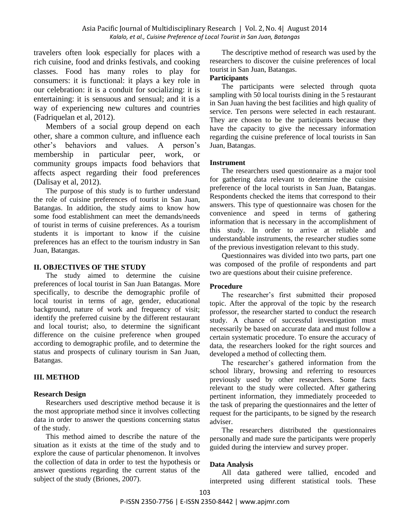travelers often look especially for places with a rich cuisine, food and drinks festivals, and cooking classes. Food has many roles to play for consumers: it is functional: it plays a key role in our celebration: it is a conduit for socializing: it is entertaining: it is sensuous and sensual; and it is a way of experiencing new cultures and countries (Fadriquelan et al, 2012).

Members of a social group depend on each other, share a common culture, and influence each other"s behaviors and values. A person"s membership in particular peer, work, or community groups impacts food behaviors that affects aspect regarding their food preferences (Dalisay et al, 2012).

The purpose of this study is to further understand the role of cuisine preferences of tourist in San Juan, Batangas. In addition, the study aims to know how some food establishment can meet the demands/needs of tourist in terms of cuisine preferences. As a tourism students it is important to know if the cuisine preferences has an effect to the tourism industry in San Juan, Batangas.

## **II. OBJECTIVES OF THE STUDY**

The study aimed to determine the cuisine preferences of local tourist in San Juan Batangas. More specifically, to describe the demographic profile of local tourist in terms of age, gender, educational background, nature of work and frequency of visit; identify the preferred cuisine by the different restaurant and local tourist; also, to determine the significant difference on the cuisine preference when grouped according to demographic profile, and to determine the status and prospects of culinary tourism in San Juan, Batangas.

# **III. METHOD**

# **Research Design**

Researchers used descriptive method because it is the most appropriate method since it involves collecting data in order to answer the questions concerning status of the study.

This method aimed to describe the nature of the situation as it exists at the time of the study and to explore the cause of particular phenomenon. It involves the collection of data in order to test the hypothesis or answer questions regarding the current status of the subject of the study (Briones, 2007).

The descriptive method of research was used by the researchers to discover the cuisine preferences of local tourist in San Juan, Batangas.

# **Participants**

The participants were selected through quota sampling with 50 local tourists dining in the 5 restaurant in San Juan having the best facilities and high quality of service. Ten persons were selected in each restaurant. They are chosen to be the participants because they have the capacity to give the necessary information regarding the cuisine preference of local tourists in San Juan, Batangas.

# **Instrument**

The researchers used questionnaire as a major tool for gathering data relevant to determine the cuisine preference of the local tourists in San Juan, Batangas. Respondents checked the items that correspond to their answers. This type of questionnaire was chosen for the convenience and speed in terms of gathering information that is necessary in the accomplishment of this study. In order to arrive at reliable and understandable instruments, the researcher studies some of the previous investigation relevant to this study.

Questionnaires was divided into two parts, part one was composed of the profile of respondents and part two are questions about their cuisine preference.

# **Procedure**

The researcher"s first submitted their proposed topic. After the approval of the topic by the research professor, the researcher started to conduct the research study. A chance of successful investigation must necessarily be based on accurate data and must follow a certain systematic procedure. To ensure the accuracy of data, the researchers looked for the right sources and developed a method of collecting them.

The researcher"s gathered information from the school library, browsing and referring to resources previously used by other researchers. Some facts relevant to the study were collected. After gathering pertinent information, they immediately proceeded to the task of preparing the questionnaires and the letter of request for the participants, to be signed by the research adviser.

The researchers distributed the questionnaires personally and made sure the participants were properly guided during the interview and survey proper.

# **Data Analysis**

All data gathered were tallied, encoded and interpreted using different statistical tools. These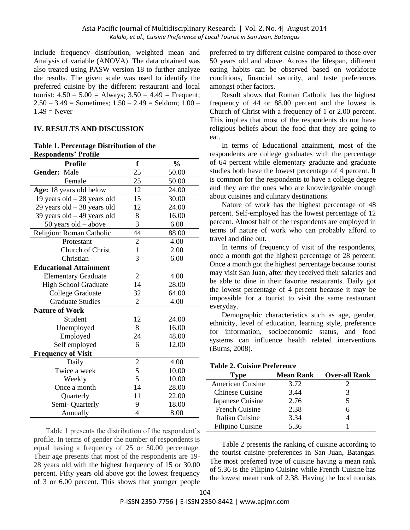include frequency distribution, weighted mean and Analysis of variable (ANOVA). The data obtained was also treated using PASW version 18 to further analyze the results. The given scale was used to identify the preferred cuisine by the different restaurant and local tourist:  $4.50 - 5.00 =$  Always;  $3.50 - 4.49 =$  Frequent;  $2.50 - 3.49$  = Sometimes;  $1.50 - 2.49$  = Seldom;  $1.00$  –  $1.49$  = Never

# **IV. RESULTS AND DISCUSSION**

#### **Table 1. Percentage Distribution of the Respondents' Profile**

| <b>Profile</b>                | f              | $\frac{0}{0}$ |
|-------------------------------|----------------|---------------|
| Gender: Male                  | 25             | 50.00         |
| Female                        | 25             | 50.00         |
| Age: 18 years old below       | 12             | 24.00         |
| 19 years old $-28$ years old  | 15             | 30.00         |
| 29 years old $-38$ years old  | 12             | 24.00         |
| 39 years old $-49$ years old  | 8              | 16.00         |
| 50 years old – above          | 3              | 6.00          |
| Religion: Roman Catholic      | 44             | 88.00         |
| Protestant                    | $\overline{2}$ | 4.00          |
| Church of Christ              | $\mathbf{1}$   | 2.00          |
| Christian                     | 3              | 6.00          |
| <b>Educational Attainment</b> |                |               |
| <b>Elementary Graduate</b>    | $\overline{2}$ | 4.00          |
| <b>High School Graduate</b>   | 14             | 28.00         |
| <b>College Graduate</b>       | 32             | 64.00         |
| <b>Graduate Studies</b>       | $\overline{2}$ | 4.00          |
| <b>Nature of Work</b>         |                |               |
| Student                       | 12             | 24.00         |
| Unemployed                    | 8              | 16.00         |
| Employed                      | 24             | 48.00         |
| Self employed                 | 6              | 12.00         |
| <b>Frequency of Visit</b>     |                |               |
| Daily                         | $\overline{2}$ | 4.00          |
| Twice a week                  | 5              | 10.00         |
| Weekly                        | 5              | 10.00         |
| Once a month                  | 14             | 28.00         |
| Quarterly                     | 11             | 22.00         |
| Semi-Quarterly                | 9              | 18.00         |
| Annually                      | 4              | 8.00          |

Table 1 presents the distribution of the respondent's  $=$ profile. In terms of gender the number of respondents is equal having a frequency of 25 or 50.00 percentage. Their age presents that most of the respondents are 19- 28 years old with the highest frequency of 15 or 30.00 percent. Fifty years old above got the lowest frequency of 3 or 6.00 percent. This shows that younger people

preferred to try different cuisine compared to those over 50 years old and above. Across the lifespan, different eating habits can be observed based on workforce conditions, financial security, and taste preferences amongst other factors.

Result shows that Roman Catholic has the highest frequency of 44 or 88.00 percent and the lowest is Church of Christ with a frequency of 1 or 2.00 percent. This implies that most of the respondents do not have religious beliefs about the food that they are going to eat.

In terms of Educational attainment, most of the respondents are college graduates with the percentage of 64 percent while elementary graduate and graduate studies both have the lowest percentage of 4 percent. It is common for the respondents to have a college degree and they are the ones who are knowledgeable enough about cuisines and culinary destinations.

Nature of work has the highest percentage of 48 percent. Self-employed has the lowest percentage of 12 percent. Almost half of the respondents are employed in terms of nature of work who can probably afford to travel and dine out.

In terms of frequency of visit of the respondents, once a month got the highest percentage of 28 percent. Once a month got the highest percentage because tourist may visit San Juan, after they received their salaries and be able to dine in their favorite restaurants. Daily got the lowest percentage of 4 percent because it may be impossible for a tourist to visit the same restaurant everyday.

Demographic characteristics such as age, gender, ethnicity, level of education, learning style, preference for information, socioeconomic status, and food systems can influence health related interventions (Burns, 2008).

#### **Table 2. Cuisine Preference**

| Type                    | <b>Mean Rank</b> | <b>Over-all Rank</b> |
|-------------------------|------------------|----------------------|
| <b>American Cuisine</b> | 3.72             |                      |
| <b>Chinese Cuisine</b>  | 3.44             | 3                    |
| Japanese Cuisine        | 2.76             | 5                    |
| <b>French Cuisine</b>   | 2.38             | 6                    |
| Italian Cuisine         | 3.34             |                      |
| Filipino Cuisine        | 5.36             |                      |

Table 2 presents the ranking of cuisine according to the tourist cuisine preferences in San Juan, Batangas. The most preferred type of cuisine having a mean rank of 5.36 is the Filipino Cuisine while French Cuisine has the lowest mean rank of 2.38. Having the local tourists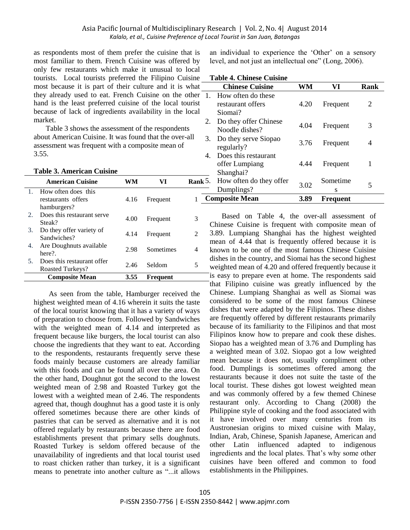as respondents most of them prefer the cuisine that is most familiar to them. French Cuisine was offered by only few restaurants which make it unusual to local tourists. Local tourists preferred the Filipino Cuisine most because it is part of their culture and it is what they already used to eat. French Cuisine on the other hand is the least preferred cuisine of the local tourist because of lack of ingredients availability in the local market.

Table 3 shows the assessment of the respondents about American Cuisine. It was found that the over-all assessment was frequent with a composite mean of 3.55.

#### **Table 3. American Cuisine**

|                | <b>American Cuisine</b>                                  | wм   | VI        | Rank:         |
|----------------|----------------------------------------------------------|------|-----------|---------------|
| $\mathbf{1}$ . | How often does this<br>restaurants offers<br>hamburgers? | 4.16 | Frequent  |               |
| 2.             | Does this restaurant serve<br>Steak?                     | 4.00 | Frequent  | 3             |
| 3.             | Do they offer variety of<br>Sandwiches?                  | 4.14 | Frequent  | $\mathcal{L}$ |
| 4.             | Are Doughnuts available<br>here?                         | 2.98 | Sometimes | 4             |
| 5.             | Does this restaurant offer<br>Roasted Turkeys?           | 2.46 | Seldom    | 5             |
|                | <b>Composite Mean</b>                                    | 3.55 | Frequent  |               |

As seen from the table, Hamburger received the highest weighted mean of 4.16 wherein it suits the taste of the local tourist knowing that it has a variety of ways of preparation to choose from. Followed by Sandwiches with the weighted mean of 4.14 and interpreted as frequent because like burgers, the local tourist can also choose the ingredients that they want to eat. According to the respondents, restaurants frequently serve these foods mainly because customers are already familiar with this foods and can be found all over the area. On the other hand, Doughnut got the second to the lowest weighted mean of 2.98 and Roasted Turkey got the lowest with a weighted mean of 2.46. The respondents agreed that, though doughnut has a good taste it is only offered sometimes because there are other kinds of pastries that can be served as alternative and it is not offered regularly by restaurants because there are food establishments present that primary sells doughnuts. Roasted Turkey is seldom offered because of the unavailability of ingredients and that local tourist used to roast chicken rather than turkey, it is a significant means to penetrate into another culture as "...it allows an individual to experience the "Other" on a sensory level, and not just an intellectual one" (Long, 2006).

#### **Table 4. Chinese Cuisine**

|     | таріс 7. Спінсяс Саізінс                            |      |                 |      |
|-----|-----------------------------------------------------|------|-----------------|------|
|     | <b>Chinese Cuisine</b>                              | WM   | VI              | Rank |
| 1.  | How often do these<br>restaurant offers<br>Siomai?  | 4.20 | Frequent        | 2    |
| 2.  | Do they offer Chinese<br>Noodle dishes?             | 4.04 | Frequent        | 3    |
| 3.  | Do they serve Siopao<br>regularly?                  | 3.76 | Frequent        | 4    |
| 4.  | Does this restaurant<br>offer Lumpiang<br>Shanghai? | 4.44 | Frequent        | 1    |
| κ5. | How often do they offer<br>Dumplings?               | 3.02 | Sometime<br>S   | 5    |
|     | <b>Composite Mean</b>                               | 3.89 | <b>Frequent</b> |      |
|     |                                                     |      |                 |      |

Based on Table 4, the over-all assessment of Chinese Cuisine is frequent with composite mean of 3.89. Lumpiang Shanghai has the highest weighted mean of 4.44 that is frequently offered because it is known to be one of the most famous Chinese Cuisine dishes in the country, and Siomai has the second highest weighted mean of 4.20 and offered frequently because it is easy to prepare even at home. The respondents said that Filipino cuisine was greatly influenced by the Chinese. Lumpiang Shanghai as well as Siomai was considered to be some of the most famous Chinese dishes that were adapted by the Filipinos. These dishes are frequently offered by different restaurants primarily because of its familiarity to the Filipinos and that most Filipinos know how to prepare and cook these dishes. Siopao has a weighted mean of 3.76 and Dumpling has a weighted mean of 3.02. Siopao got a low weighted mean because it does not, usually compliment other food. Dumplings is sometimes offered among the restaurants because it does not suite the taste of the local tourist. These dishes got lowest weighted mean and was commonly offered by a few themed Chinese restaurant only. According to Chang (2008) the Philippine style of cooking and the food associated with it have involved over many centuries from its Austronesian origins to mixed cuisine with Malay, Indian, Arab, Chinese, Spanish Japanese, American and other Latin influenced adapted to indigenous ingredients and the local plates. That's why some other cuisines have been offered and common to food establishments in the Philippines.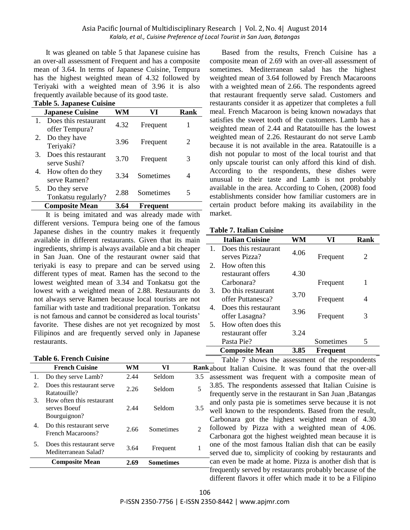## Asia Pacific Journal of Multidisciplinary Research | Vol. 2, No. 4| August 2014 *Kalalo, et al., Cuisine Preference of Local Tourist in San Juan, Batangas*

It was gleaned on table 5 that Japanese cuisine has an over-all assessment of Frequent and has a composite mean of 3.64. In terms of Japanese Cuisine, Tempura has the highest weighted mean of 4.32 followed by Teriyaki with a weighted mean of 3.96 it is also frequently available because of its good taste. **Table 5. Japanese Cuisine**

|    | Table 5. Japanese Cuisine              |      |           |      |  |
|----|----------------------------------------|------|-----------|------|--|
|    | <b>Japanese Cuisine</b>                | WM   | VI        | Rank |  |
|    | Does this restaurant<br>offer Tempura? | 4.32 | Frequent  | 1    |  |
| 2. | Do they have<br>Teriyaki?              | 3.96 | Frequent  | 2    |  |
| 3. | Does this restaurant<br>serve Sushi?   | 3.70 | Frequent  | 3    |  |
| 4. | How often do they<br>serve Ramen?      | 3.34 | Sometimes | 4    |  |
| 5. | Do they serve<br>Tonkatsu regularly?   | 2.88 | Sometimes | 5    |  |
|    | <b>Composite Mean</b>                  | 3.64 | Frequent  |      |  |

It is being imitated and was already made with different versions. Tempura being one of the famous Japanese dishes in the country makes it frequently available in different restaurants. Given that its main ingredients, shrimp is always available and a bit cheaper in San Juan. One of the restaurant owner said that teriyaki is easy to prepare and can be served using different types of meat. Ramen has the second to the lowest weighted mean of 3.34 and Tonkatsu got the lowest with a weighted mean of 2.88. Restaurants do not always serve Ramen because local tourists are not familiar with taste and traditional preparation. Tonkatsu is not famous and cannot be considered as local tourists' favorite. These dishes are not yet recognized by most Filipinos and are frequently served only in Japanese restaurants.

|  |  | <b>Table 6. French Cuisine</b> |  |
|--|--|--------------------------------|--|
|--|--|--------------------------------|--|

|             | <b>French Cuisine</b>                                     | WM   | VI               | Rank                        |
|-------------|-----------------------------------------------------------|------|------------------|-----------------------------|
| 1.          | Do they serve Lamb?                                       | 2.44 | Seldom           | 3.5                         |
| $2^{\circ}$ | Does this restaurant serve<br>Ratatouille?                | 2.26 | Seldom           | 5                           |
| 3.          | How often this restaurant<br>serves Boeuf<br>Bourguignon? | 2.44 | Seldom           | 3.5                         |
| 4.          | Do this restaurant serve<br>French Macaroons?             | 2.66 | Sometimes        | $\mathcal{D}_{\mathcal{L}}$ |
| 5.          | Does this restaurant serve<br>Mediterranean Salad?        | 3.64 | Frequent         |                             |
|             | <b>Composite Mean</b>                                     |      | <b>Sometimes</b> |                             |
|             |                                                           |      |                  |                             |

Based from the results, French Cuisine has a composite mean of 2.69 with an over-all assessment of sometimes. Mediterranean salad has the highest weighted mean of 3.64 followed by French Macaroons with a weighted mean of 2.66. The respondents agreed that restaurant frequently serve salad. Customers and restaurants consider it as appetizer that completes a full meal. French Macaroon is being known nowadays that satisfies the sweet tooth of the customers. Lamb has a weighted mean of 2.44 and Ratatouille has the lowest weighted mean of 2.26. Restaurant do not serve Lamb because it is not available in the area. Ratatouille is a dish not popular to most of the local tourist and that only upscale tourist can only afford this kind of dish. According to the respondents, these dishes were unusual to their taste and Lamb is not probably available in the area. According to Cohen, (2008) food establishments consider how familiar customers are in certain product before making its availability in the market.

## **Table 7. Italian Cuisine**

|             | <b>Italian Cuisine</b>                  | WM   | VI        | Rank |
|-------------|-----------------------------------------|------|-----------|------|
|             | Does this restaurant<br>serves Pizza?   | 4.06 | Frequent  | 2    |
| $2^{\circ}$ | How often this<br>restaurant offers     | 4.30 |           |      |
|             | Carbonara?                              |      | Frequent  | 1    |
| 3.          | Do this restaurant<br>offer Puttanesca? | 3.70 | Frequent  | 4    |
| 4.          | Does this restaurant<br>offer Lasagna?  | 3.96 | Frequent  | 3    |
| 5.          | How often does this<br>restaurant offer | 3.24 |           |      |
|             | Pasta Pie?                              |      | Sometimes | 5    |
|             | <b>Composite Mean</b>                   | 3.85 | Frequent  |      |

Table 7 shows the assessment of the respondents kabout Italian Cuisine. It was found that the over-all assessment was frequent with a composite mean of 3.85. The respondents assessed that Italian Cuisine is frequently serve in the restaurant in San Juan ,Batangas and only pasta pie is sometimes serve because it is not well known to the respondents. Based from the result, Carbonara got the highest weighted mean of 4.30 followed by Pizza with a weighted mean of 4.06. Carbonara got the highest weighted mean because it is one of the most famous Italian dish that can be easily served due to, simplicity of cooking by restaurants and can even be made at home. Pizza is another dish that is frequently served by restaurants probably because of the different flavors it offer which made it to be a Filipino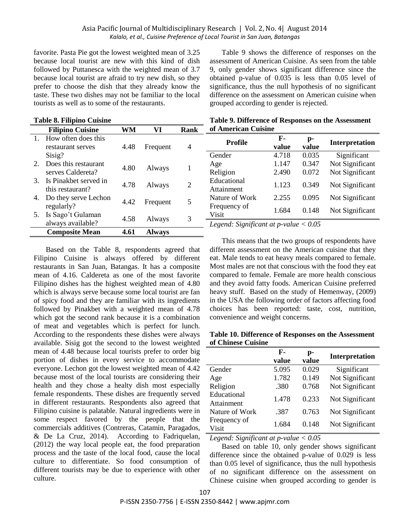## Asia Pacific Journal of Multidisciplinary Research | Vol. 2, No. 4| August 2014 *Kalalo, et al., Cuisine Preference of Local Tourist in San Juan, Batangas*

favorite. Pasta Pie got the lowest weighted mean of 3.25 because local tourist are new with this kind of dish followed by Puttanesca with the weighted mean of 3.7 because local tourist are afraid to try new dish, so they prefer to choose the dish that they already know the taste. These two dishes may not be familiar to the local tourists as well as to some of the restaurants.

| <b>Table 8. Filipino Cuisine</b> |                         |           | Table 9. Difference of Responses on the Assessment |      |                                         |       |       |                 |
|----------------------------------|-------------------------|-----------|----------------------------------------------------|------|-----------------------------------------|-------|-------|-----------------|
|                                  | <b>Filipino Cuisine</b> | <b>WM</b> | VI                                                 | Rank | of American Cuisine                     |       |       |                 |
| $\mathbf{1}$ .                   | How often does this     |           |                                                    |      | Profile                                 | F-    | p-    | Interpretation  |
|                                  | restaurant serves       | 4.48      | Frequent                                           | 4    |                                         | value | value |                 |
|                                  | Sisig?                  |           |                                                    |      | Gender                                  | 4.718 | 0.035 | Significant     |
| 2.                               | Does this restaurant    | 4.80      |                                                    |      | Age                                     | 1.147 | 0.347 | Not Significant |
|                                  | serves Caldereta?       |           | Always                                             |      | Religion                                | 2.490 | 0.072 | Not Significant |
| 3.                               | Is Pinakbet served in   |           |                                                    |      | Educational                             |       |       |                 |
|                                  | this restaurant?        | 4.78      | 2<br>Always                                        |      | Attainment                              | 1.123 | 0.349 | Not Significant |
| 4.                               | Do they serve Lechon    |           |                                                    |      | Nature of Work                          | 2.255 | 0.095 | Not Significant |
|                                  | regularly?              | 4.42      | Frequent                                           | 5    | Frequency of                            |       |       |                 |
| 5.                               | Is Sago't Gulaman       |           |                                                    |      | Visit                                   | 1.684 | 0.148 | Not Significant |
|                                  | always available?       | 4.58      | Always                                             | 3    | Legend: Significant at p-value $< 0.05$ |       |       |                 |
|                                  | <b>Composite Mean</b>   | 4.61      | <b>Always</b>                                      |      |                                         |       |       |                 |

Based on the Table 8, respondents agreed that Filipino Cuisine is always offered by different restaurants in San Juan, Batangas. It has a composite mean of 4.16. Caldereta as one of the most favorite Filipino dishes has the highest weighted mean of 4.80 which is always serve because some local tourist are fan of spicy food and they are familiar with its ingredients followed by Pinakbet with a weighted mean of 4.78 which got the second rank because it is a combination of meat and vegetables which is perfect for lunch. According to the respondents these dishes were always available. Sisig got the second to the lowest weighted mean of 4.48 because local tourists prefer to order big portion of dishes in every service to accommodate everyone. Lechon got the lowest weighted mean of 4.42 because most of the local tourists are considering their health and they chose a healty dish most especially female respondents. These dishes are frequently served in different restaurants. Respondents also agreed that Filipino cuisine is palatable. Natural ingredients were in some respect favored by the people that the commercials additives (Contreras, Catamin, Paragados, & De La Cruz, 2014). According to Fadriquelan, (2012) the way local people eat, the food preparation process and the taste of the local food, cause the local culture to differentiate. So food consumption of different tourists may be due to experience with other culture.

Table 9 shows the difference of responses on the assessment of American Cuisine. As seen from the table 9, only gender shows significant difference since the obtained p-value of 0.035 is less than 0.05 level of significance, thus the null hypothesis of no significant difference on the assessment on American cuisine when grouped according to gender is rejected.

| Table 9. Difference of Responses on the Assessment |  |  |
|----------------------------------------------------|--|--|
| of American Cuisine                                |  |  |

This means that the two groups of respondents have different assessment on the American cuisine that they eat. Male tends to eat heavy meals compared to female. Most males are not that conscious with the food they eat compared to female. Female are more health conscious and they avoid fatty foods. American Cuisine preferred heavy stuff. Based on the study of Hemenway, (2009) in the USA the following order of factors affecting food choices has been reported: taste, cost, nutrition, convenience and weight concerns.

### **Table 10. Difference of Responses on the Assessment of Chinese Cuisine**

|                           | F-<br>value | p-<br>value | Interpretation  |
|---------------------------|-------------|-------------|-----------------|
| Gender                    | 5.095       | 0.029       | Significant     |
| Age                       | 1.782       | 0.149       | Not Significant |
| Religion                  | .380        | 0.768       | Not Significant |
| Educational<br>Attainment | 1.478       | 0.233       | Not Significant |
| Nature of Work            | .387        | 0.763       | Not Significant |
| Frequency of<br>Visit     | 1.684       | 0.148       | Not Significant |

*Legend: Significant at p-value < 0.05*

Based on table 10, only gender shows significant difference since the obtained p-value of 0.029 is less than 0.05 level of significance, thus the null hypothesis of no significant difference on the assessment on Chinese cuisine when grouped according to gender is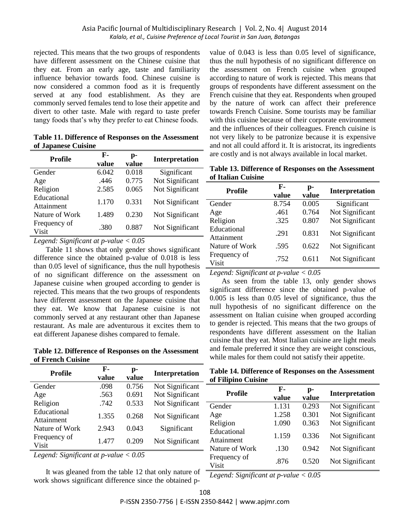rejected. This means that the two groups of respondents have different assessment on the Chinese cuisine that they eat. From an early age, taste and familiarity influence behavior towards food. Chinese cuisine is now considered a common food as it is frequently served at any food establishment. As they are commonly served females tend to lose their appetite and divert to other taste. Male with regard to taste prefer tangy foods that"s why they prefer to eat Chinese foods.

**Table 11. Difference of Responses on the Assessment of Japanese Cuisine**

| <b>Profile</b>            | F-<br>value | p-<br>value | Interpretation  |
|---------------------------|-------------|-------------|-----------------|
| Gender                    | 6.042       | 0.018       | Significant     |
| Age                       | .446        | 0.775       | Not Significant |
| Religion                  | 2.585       | 0.065       | Not Significant |
| Educational<br>Attainment | 1.170       | 0.331       | Not Significant |
| Nature of Work            | 1.489       | 0.230       | Not Significant |
| Frequency of<br>Visit     | .380        | 0.887       | Not Significant |
| $\cdot$ $\sim$ $\cdot$    |             |             |                 |

*Legend: Significant at p-value < 0.05*

Table 11 shows that only gender shows significant difference since the obtained p-value of 0.018 is less than 0.05 level of significance, thus the null hypothesis of no significant difference on the assessment on Japanese cuisine when grouped according to gender is rejected. This means that the two groups of respondents have different assessment on the Japanese cuisine that they eat. We know that Japanese cuisine is not commonly served at any restaurant other than Japanese restaurant. As male are adventurous it excites them to eat different Japanese dishes compared to female.

**Table 12. Difference of Responses on the Assessment of French Cuisine**

| Profile                   | F-<br>value | p-<br>value | Interpretation  |
|---------------------------|-------------|-------------|-----------------|
| Gender                    | .098        | 0.756       | Not Significant |
| Age                       | .563        | 0.691       | Not Significant |
| Religion                  | .742        | 0.533       | Not Significant |
| Educational<br>Attainment | 1.355       | 0.268       | Not Significant |
| Nature of Work            | 2.943       | 0.043       | Significant     |
| Frequency of<br>Visit     | 1.477       | 0.209       | Not Significant |

*Legend: Significant at p-value < 0.05*

It was gleaned from the table 12 that only nature of  $\overline{\phantom{a}}$ work shows significant difference since the obtained p-

value of 0.043 is less than 0.05 level of significance, thus the null hypothesis of no significant difference on the assessment on French cuisine when grouped according to nature of work is rejected. This means that groups of respondents have different assessment on the French cuisine that they eat. Respondents when grouped by the nature of work can affect their preference towards French Cuisine. Some tourists may be familiar with this cuisine because of their corporate environment and the influences of their colleagues. French cuisine is not very likely to be patronize because it is expensive and not all could afford it. It is aristocrat, its ingredients are costly and is not always available in local market.

**Table 13. Difference of Responses on the Assessment of Italian Cuisine**

| <b>Profile</b>            | F-<br>value | p-<br>value | Interpretation  |
|---------------------------|-------------|-------------|-----------------|
| Gender                    | 8.754       | 0.005       | Significant     |
| Age                       | .461        | 0.764       | Not Significant |
| Religion                  | .325        | 0.807       | Not Significant |
| Educational<br>Attainment | .291        | 0.831       | Not Significant |
| Nature of Work            | .595        | 0.622       | Not Significant |
| Frequency of<br>Visit     | .752        | 0.611       | Not Significant |

*Legend: Significant at p-value < 0.05*

As seen from the table 13, only gender shows significant difference since the obtained p-value of 0.005 is less than 0.05 level of significance, thus the null hypothesis of no significant difference on the assessment on Italian cuisine when grouped according to gender is rejected. This means that the two groups of respondents have different assessment on the Italian cuisine that they eat. Most Italian cuisine are light meals and female preferred it since they are weight conscious, while males for them could not satisfy their appetite.

**Table 14. Difference of Responses on the Assessment of Filipino Cuisine**

| <b>Profile</b>            | F-<br>value | p-<br>value | Interpretation  |
|---------------------------|-------------|-------------|-----------------|
| Gender                    | 1.131       | 0.293       | Not Significant |
| Age                       | 1.258       | 0.301       | Not Significant |
| Religion                  | 1.090       | 0.363       | Not Significant |
| Educational<br>Attainment | 1.159       | 0.336       | Not Significant |
| Nature of Work            | .130        | 0.942       | Not Significant |
| Frequency of<br>Visit     | .876        | 0.520       | Not Significant |

*Legend: Significant at p-value < 0.05*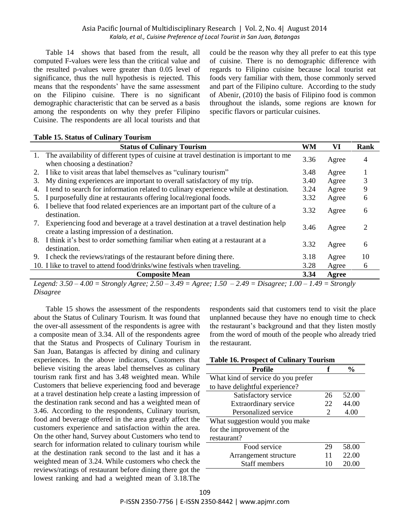Table 14 shows that based from the result, all computed F-values were less than the critical value and the resulted p-values were greater than 0.05 level of significance, thus the null hypothesis is rejected. This means that the respondents' have the same assessment on the Filipino cuisine. There is no significant demographic characteristic that can be served as a basis among the respondents on why they prefer Filipino Cuisine. The respondents are all local tourists and that could be the reason why they all prefer to eat this type of cuisine. There is no demographic difference with regards to Filipino cuisine because local tourist eat foods very familiar with them, those commonly served and part of the Filipino culture. According to the study of Abenir, (2010) the basis of Filipino food is common throughout the islands, some regions are known for specific flavors or particular cuisines.

# **Table 15. Status of Culinary Tourism**

|    | <b>Status of Culinary Tourism</b>                                                                                                    | <b>WM</b> | VI    | <b>Rank</b>                 |
|----|--------------------------------------------------------------------------------------------------------------------------------------|-----------|-------|-----------------------------|
| 1. | The availability of different types of cuisine at travel destination is important to me<br>when choosing a destination?              | 3.36      | Agree | 4                           |
|    | 2. I like to visit areas that label themselves as "culinary tourism"                                                                 | 3.48      | Agree |                             |
| 3. | My dining experiences are important to overall satisfactory of my trip.                                                              | 3.40      | Agree |                             |
|    | 4. I tend to search for information related to culinary experience while at destination.                                             | 3.24      | Agree | 9                           |
| 5. | I purposefully dine at restaurants offering local/regional foods.                                                                    | 3.32      | Agree | 6                           |
| 6. | I believe that food related experiences are an important part of the culture of a<br>destination.                                    | 3.32      | Agree | 6                           |
| 7. | Experiencing food and beverage at a travel destination at a travel destination help<br>create a lasting impression of a destination. | 3.46      | Agree | $\mathcal{D}_{\mathcal{A}}$ |
|    | 8. I think it's best to order something familiar when eating at a restaurant at a<br>destination.                                    | 3.32      | Agree | 6                           |
|    | 9. I check the reviews/ratings of the restaurant before dining there.                                                                | 3.18      | Agree | 10                          |
|    | 10. I like to travel to attend food/drinks/wine festivals when traveling.                                                            | 3.28      | Agree | 6                           |
|    | <b>Composite Mean</b>                                                                                                                | 3.34      | Agree |                             |

*Legend: 3.50 – 4.00 = Strongly Agree; 2.50 – 3.49 = Agree; 1.50 – 2.49 = Disagree; 1.00 – 1.49 = Strongly Disagree*

Table 15 shows the assessment of the respondents about the Status of Culinary Tourism. It was found that the over-all assessment of the respondents is agree with a composite mean of 3.34. All of the respondents agree that the Status and Prospects of Culinary Tourism in San Juan, Batangas is affected by dining and culinary experiences. In the above indicators, Customers that believe visiting the areas label themselves as culinary tourism rank first and has 3.48 weighted mean. While Customers that believe experiencing food and beverage at a travel destination help create a lasting impression of the destination rank second and has a weighted mean of 3.46. According to the respondents, Culinary tourism, food and beverage offered in the area greatly affect the customers experience and satisfaction within the area. On the other hand, Survey about Customers who tend to search for information related to culinary tourism while at the destination rank second to the last and it has a weighted mean of 3.24. While customers who check the reviews/ratings of restaurant before dining there got the lowest ranking and had a weighted mean of 3.18.The

respondents said that customers tend to visit the place unplanned because they have no enough time to check the restaurant's background and that they listen mostly from the word of mouth of the people who already tried the restaurant.

| <b>Table 16. Prospect of Culinary Tourism</b> |                       |               |  |
|-----------------------------------------------|-----------------------|---------------|--|
| Profile                                       | f                     | $\frac{0}{0}$ |  |
| What kind of service do you prefer            |                       |               |  |
| to have delightful experience?                |                       |               |  |
| Satisfactory service                          | 26                    | 52.00         |  |
| Extraordinary service                         | 22                    | 44.00         |  |
| Personalized service                          | $\mathcal{D}_{\cdot}$ | 4.00          |  |
| What suggestion would you make                |                       |               |  |
| for the improvement of the                    |                       |               |  |
| restaurant?                                   |                       |               |  |
| Food service                                  | 29                    | 58.00         |  |
| Arrangement structure                         | 11                    | 22.00         |  |
| <b>Staff members</b>                          | 10                    | 20.00         |  |
|                                               |                       |               |  |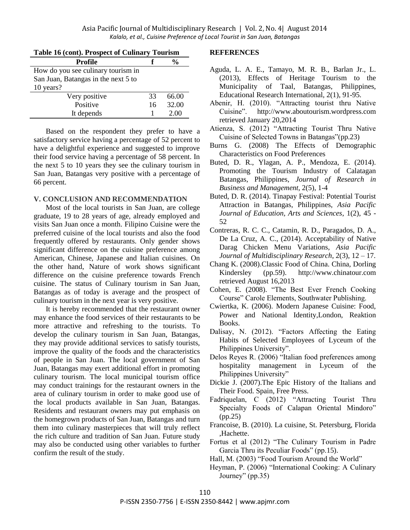| Table 16 (cont). Prospect of Culinary Tourism |    |               |  |
|-----------------------------------------------|----|---------------|--|
| <b>Profile</b>                                |    | $\frac{0}{0}$ |  |
| How do you see culinary tourism in            |    |               |  |
| San Juan, Batangas in the next 5 to           |    |               |  |
| 10 years?                                     |    |               |  |
| Very positive                                 | 33 | 66.00         |  |
| Positive                                      | 16 | 32.00         |  |
| It depends                                    |    | 2.00          |  |

Based on the respondent they prefer to have a satisfactory service having a percentage of 52 percent to have a delightful experience and suggested to improve their food service having a percentage of 58 percent. In the next 5 to 10 years they see the culinary tourism in San Juan, Batangas very positive with a percentage of 66 percent.

## **V. CONCLUSION AND RECOMMENDATION**

Most of the local tourists in San Juan, are college graduate, 19 to 28 years of age, already employed and visits San Juan once a month. Filipino Cuisine were the preferred cuisine of the local tourists and also the food frequently offered by restaurants. Only gender shows significant difference on the cuisine preference among American, Chinese, Japanese and Italian cuisines. On the other hand, Nature of work shows significant difference on the cuisine preference towards French cuisine. The status of Culinary tourism in San Juan, Batangas as of today is average and the prospect of culinary tourism in the next year is very positive.

It is hereby recommended that the restaurant owner may enhance the food services of their restaurants to be more attractive and refreshing to the tourists. To develop the culinary tourism in San Juan, Batangas, they may provide additional services to satisfy tourists, improve the quality of the foods and the characteristics of people in San Juan. The local government of San Juan, Batangas may exert additional effort in promoting culinary tourism. The local municipal tourism office may conduct trainings for the restaurant owners in the area of culinary tourism in order to make good use of the local products available in San Juan, Batangas. Residents and restaurant owners may put emphasis on the homegrown products of San Juan, Batangas and turn them into culinary masterpieces that will truly reflect the rich culture and tradition of San Juan. Future study may also be conducted using other variables to further confirm the result of the study.

# **REFERENCES**

- Aguda, L. A. E., Tamayo, M. R. B., Barlan Jr., L. (2013), Effects of Heritage Tourism to the Municipality of Taal, Batangas, Philippines, Educational Research International, 2(1), 91-95.
- Abenir, H. (2010). "Attracting tourist thru Native Cuisine". http://www.aboutourism.wordpress.com retrieved January 20,2014
- Atienza, S. (2012) "Attracting Tourist Thru Native Cuisine of Selected Towns in Batangas"(pp.23)
- Burns G. (2008) The Effects of Demographic Characteristics on Food Preferences
- Buted, D. R., Ylagan, A. P., Mendoza, E. (2014). Promoting the Tourism Industry of Calatagan Batangas, Philippines, *Journal of Research in Business and Management*, 2(5), 1-4
- Buted, D. R. (2014). Tinapay Festival: Potential Tourist Attraction in Batangas, Philippines, *Asia Pacific Journal of Education, Arts and Sciences*, 1(2), 45 - 52
- Contreras, R. C. C., Catamin, R. D., Paragados, D. A., De La Cruz, A. C., (2014). Acceptability of Native Darag Chicken Menu Variations, *Asia Pacific Journal of Multidisciplinary Research*, 2(3), 12 – 17.
- Chang K. (2008).Classic Food of China. China, Dorling Kindersley (pp.59). http://www.chinatour.com retrieved August 16,2013
- Cohen, E. (2008). "The Best Ever French Cooking Course" Carole Elements, Southwater Publishing.
- Cwiertka, K. (2006). Modern Japanese Cuisine: Food, Power and National Identity,London, Reaktion Books.
- Dalisay, N. (2012). "Factors Affecting the Eating Habits of Selected Employees of Lyceum of the Philippines University".
- Delos Reyes R. (2006) "Italian food preferences among hospitality management in Lyceum of the Philippines University"
- Dickie J. (2007).The Epic History of the Italians and Their Food. Spain, Free Press.
- Fadriquelan, C (2012) "Attracting Tourist Thru Specialty Foods of Calapan Oriental Mindoro" (pp.25)
- Francoise, B. (2010). La cuisine, St. Petersburg, Florida ,Hachette.
- Fortus et al (2012) "The Culinary Tourism in Padre Garcia Thru its Peculiar Foods" (pp.15).
- Hall, M. (2003) "Food Tourism Around the World"
- Heyman, P. (2006) "International Cooking: A Culinary Journey" (pp.35)